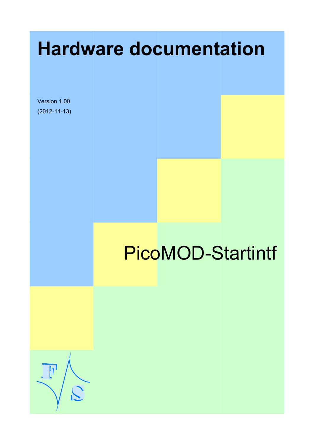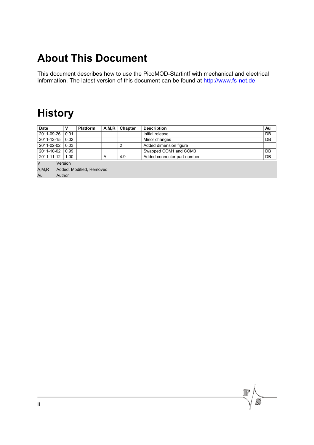# **About This Document**

This document describes how to use the PicoMOD-Startintf with mechanical and electrical information. The latest version of this document can be found at [http://www.fs-net.de.](http://www.fs-net.de/)

## **History**

| <b>Date</b>                                                         |      | <b>Platform</b> | A, M, R | Chapter | <b>Description</b>          | Au |
|---------------------------------------------------------------------|------|-----------------|---------|---------|-----------------------------|----|
| 2011-09-26                                                          | 0.01 |                 |         |         | Initial release             | DB |
| 2011-12-15                                                          | 0.02 |                 |         |         | Minor changes               | DB |
| 2011-02-02                                                          | 0.03 |                 |         | 2       | Added dimension figure      |    |
| 2011-10-02                                                          | 0.99 |                 |         |         | Swapped COM1 and COM3       | DB |
| 2011-11-12                                                          | 1.00 |                 | Α       | 4.9     | Added connector part number | DB |
| V<br>Version<br>A, M, R<br>Added, Modified, Removed<br>Au<br>Author |      |                 |         |         |                             |    |

 $\mathcal{C}$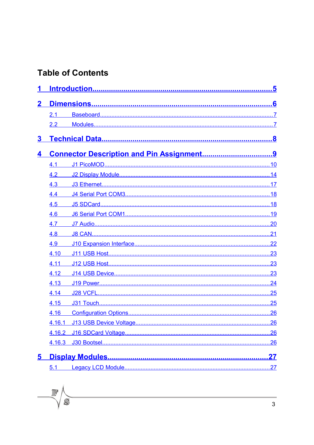## **Table of Contents**

 $\mathbb{F}$ 

 $\widetilde{C}$ 

| $\mathbf 2$             |        |  |
|-------------------------|--------|--|
|                         | 2.1    |  |
|                         | 2.2    |  |
| 3                       |        |  |
| 4                       |        |  |
|                         | 4.1    |  |
|                         | 4.2    |  |
|                         | 4.3    |  |
|                         | 4.4    |  |
|                         | 4.5    |  |
|                         | 4.6    |  |
|                         | 4.7    |  |
|                         | 4.8    |  |
|                         | 4.9    |  |
|                         | 4.10   |  |
|                         | 4.11   |  |
|                         | 4.12   |  |
|                         | 4.13   |  |
|                         | 4.14   |  |
|                         | 4.15   |  |
|                         | 4.16   |  |
|                         | 4.16.1 |  |
|                         | 4.16.2 |  |
|                         | 4.16.3 |  |
| $\overline{\mathbf{5}}$ |        |  |
|                         | 5.1    |  |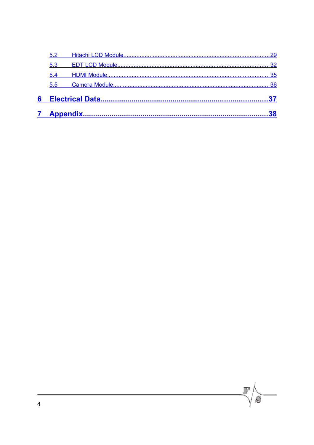| $5.5^{\circ}$ |    |
|---------------|----|
| 5.4           |    |
| 5.3           |    |
|               | 29 |

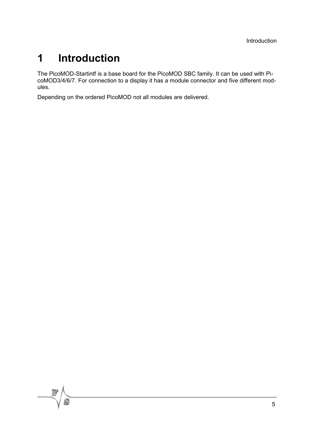# <span id="page-4-0"></span>**1 Introduction**

The PicoMOD-Startintf is a base board for the PicoMOD SBC family. It can be used with PicoMOD3/4/6/7. For connection to a display it has a module connector and five different modules.

Depending on the ordered PicoMOD not all modules are delivered.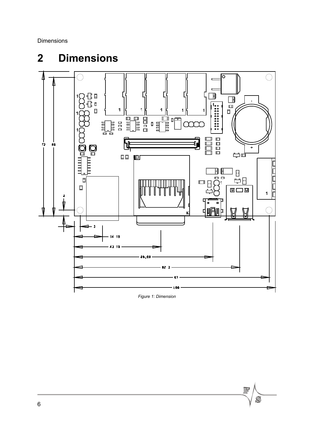Dimensions

# <span id="page-5-0"></span>**2 Dimensions**



*Figure 1: Dimension*



 $\Box$ 

 $\mathcal{L}$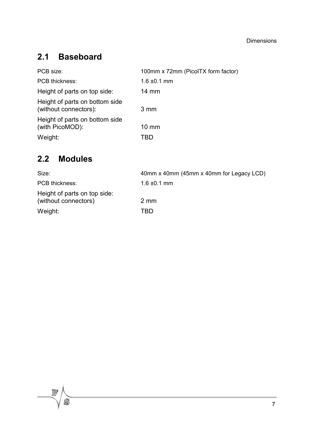## <span id="page-6-1"></span>**2.1 Baseboard**

| PCB size:                                               | 100mm x 72mm (PicolTX form factor) |
|---------------------------------------------------------|------------------------------------|
| <b>PCB thickness:</b>                                   | $1.6 \pm 0.1$ mm                   |
| Height of parts on top side:                            | $14 \text{ mm}$                    |
| Height of parts on bottom side<br>(without connectors): | $3 \, \text{mm}$                   |
| Height of parts on bottom side<br>(with PicoMOD):       | $10 \text{ mm}$                    |
| Weight:                                                 |                                    |

## <span id="page-6-0"></span>**2.2 Modules**

 $\widetilde{C}$ 

| Size:                                                | 40mm x 40mm (45mm x 40mm for Legacy LCD) |
|------------------------------------------------------|------------------------------------------|
| PCB thickness:                                       | $1.6 \pm 0.1 \text{ mm}$                 |
| Height of parts on top side:<br>(without connectors) | 2 mm                                     |
| Weight:                                              | TRD                                      |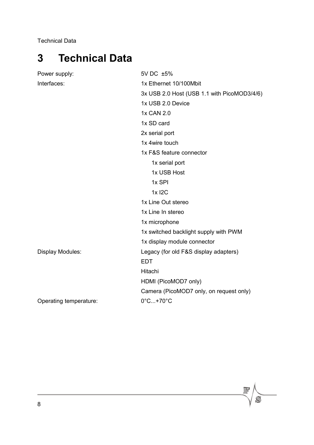Technical Data

# <span id="page-7-0"></span>**3 Technical Data**

| Power supply:           | 5V DC ±5%                                   |
|-------------------------|---------------------------------------------|
| Interfaces:             | 1x Ethernet 10/100Mbit                      |
|                         | 3x USB 2.0 Host (USB 1.1 with PicoMOD3/4/6) |
|                         | 1x USB 2.0 Device                           |
|                         | 1x CAN 2.0                                  |
|                         | 1x SD card                                  |
|                         | 2x serial port                              |
|                         | 1x 4wire touch                              |
|                         | 1x F&S feature connector                    |
|                         | 1x serial port                              |
|                         | 1x USB Host                                 |
|                         | 1x SPI                                      |
|                         | 1x I2C                                      |
|                         | 1x Line Out stereo                          |
|                         | 1x Line In stereo                           |
|                         | 1x microphone                               |
|                         | 1x switched backlight supply with PWM       |
|                         | 1x display module connector                 |
| <b>Display Modules:</b> | Legacy (for old F&S display adapters)       |
|                         | <b>EDT</b>                                  |
|                         | Hitachi                                     |
|                         | HDMI (PicoMOD7 only)                        |
|                         | Camera (PicoMOD7 only, on request only)     |
| Operating temperature:  | $0^\circ$ C+70 $^\circ$ C                   |
|                         |                                             |

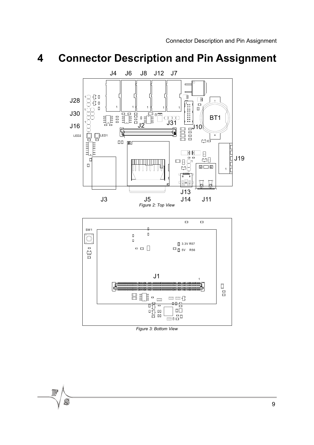<span id="page-8-0"></span>

*Figure 3: Bottom View*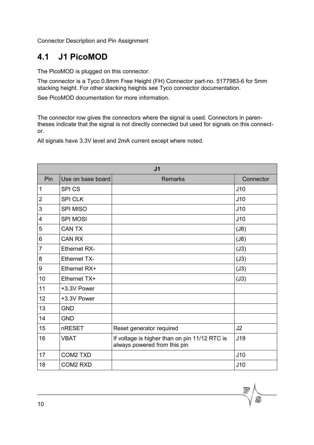#### <span id="page-9-0"></span>**4.1 J1 PicoMOD**

The PicoMOD is plugged on this connector.

The connector is a Tyco 0.8mm Free Height (FH) Connector part-no. 5177983-6 for 5mm stacking height. For other stacking heights see Tyco connector documentation.

See PicoMOD documentation for more information.

The connector row gives the connectors where the signal is used. Connectors in parentheses indicate that the signal is not directly connected but used for signals on this connector.

All signals have 3.3V level and 2mA current except where noted.

| J <sub>1</sub> |                     |                                                                               |           |
|----------------|---------------------|-------------------------------------------------------------------------------|-----------|
| Pin            | Use on base board   | <b>Remarks</b>                                                                | Connector |
| 1              | <b>SPICS</b>        |                                                                               | J10       |
| $\overline{2}$ | <b>SPI CLK</b>      |                                                                               | J10       |
| 3              | <b>SPI MISO</b>     |                                                                               | J10       |
| 4              | <b>SPI MOSI</b>     |                                                                               | J10       |
| 5              | <b>CAN TX</b>       |                                                                               | (J8)      |
| 6              | <b>CAN RX</b>       |                                                                               | (J8)      |
| $\overline{7}$ | <b>Ethernet RX-</b> |                                                                               | (J3)      |
| 8              | <b>Ethernet TX-</b> |                                                                               | (J3)      |
| 9              | Ethernet RX+        |                                                                               | (J3)      |
| 10             | Ethernet TX+        |                                                                               | (J3)      |
| 11             | +3.3V Power         |                                                                               |           |
| 12             | +3.3V Power         |                                                                               |           |
| 13             | <b>GND</b>          |                                                                               |           |
| 14             | <b>GND</b>          |                                                                               |           |
| 15             | nRESET              | Reset generator required                                                      | J2        |
| 16             | <b>VBAT</b>         | If voltage is higher than on pin 11/12 RTC is<br>always powered from this pin | J19       |
| 17             | <b>COM2 TXD</b>     |                                                                               | J10       |
| 18             | <b>COM2 RXD</b>     |                                                                               | J10       |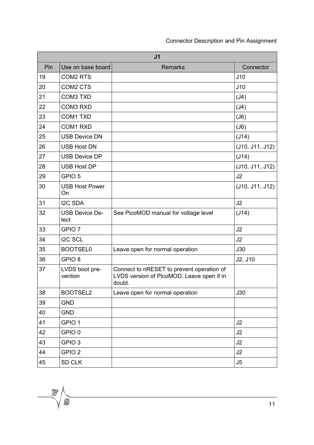| J <sub>1</sub> |                               |                                                                                                  |                 |
|----------------|-------------------------------|--------------------------------------------------------------------------------------------------|-----------------|
| Pin            | Use on base board             | <b>Remarks</b>                                                                                   | Connector       |
| 19             | <b>COM2 RTS</b>               |                                                                                                  | J10             |
| 20             | COM <sub>2</sub> CTS          |                                                                                                  | J10             |
| 21             | <b>COM3 TXD</b>               |                                                                                                  | (J4)            |
| 22             | COM3 RXD                      |                                                                                                  | (J4)            |
| 23             | <b>COM1 TXD</b>               |                                                                                                  | (J6)            |
| 24             | COM1 RXD                      |                                                                                                  | (J6)            |
| 25             | <b>USB Device DN</b>          |                                                                                                  | (J14)           |
| 26             | <b>USB Host DN</b>            |                                                                                                  | (J10, J11, J12) |
| 27             | <b>USB Device DP</b>          |                                                                                                  | (J14)           |
| 28             | <b>USB Host DP</b>            |                                                                                                  | (J10, J11, J12) |
| 29             | GPIO <sub>5</sub>             |                                                                                                  | J2              |
| 30             | <b>USB Host Power</b><br>On   |                                                                                                  | (J10, J11, J12) |
| 31             | <b>I2C SDA</b>                |                                                                                                  | J <sub>2</sub>  |
| 32             | <b>USB Device De-</b><br>tect | See PicoMOD manual for voltage level                                                             | (J14)           |
| 33             | GPIO <sub>7</sub>             |                                                                                                  | J2              |
| 34             | <b>I2C SCL</b>                |                                                                                                  | J2              |
| 35             | <b>BOOTSEL0</b>               | Leave open for normal operation                                                                  | J30             |
| 36             | GPIO <sub>8</sub>             |                                                                                                  | J2, J10         |
| 37             | LVDS boot pre-<br>vention     | Connect to nRESET to prevent operation of<br>LVDS version of PicoMOD. Leave open if in<br>doubt. |                 |
| 38             | BOOTSEL2                      | Leave open for normal operation                                                                  | J30             |
| 39             | <b>GND</b>                    |                                                                                                  |                 |
| 40             | <b>GND</b>                    |                                                                                                  |                 |
| 41             | GPIO <sub>1</sub>             |                                                                                                  | J2              |
| 42             | GPIO <sub>0</sub>             |                                                                                                  | J2              |
| 43             | GPIO <sub>3</sub>             |                                                                                                  | J2              |
| 44             | GPIO <sub>2</sub>             |                                                                                                  | J2              |
| 45             | SD CLK                        |                                                                                                  | J5              |

<u> 1980 - Johann Barbara, martxa a</u>

 $\mathbb{F}$ 

 $\widetilde{C}$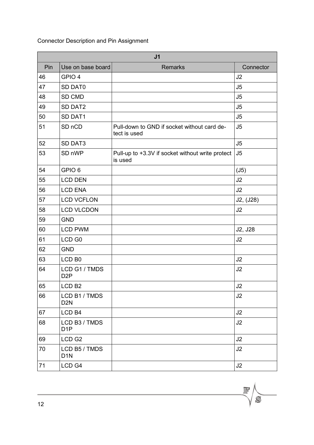| J <sub>1</sub> |                                   |                                                             |           |
|----------------|-----------------------------------|-------------------------------------------------------------|-----------|
| Pin            | Use on base board                 | <b>Remarks</b>                                              | Connector |
| 46             | GPIO 4                            |                                                             | J2        |
| 47             | SD DAT0                           |                                                             | J5        |
| 48             | SD CMD                            |                                                             | J5        |
| 49             | SD DAT2                           |                                                             | J5        |
| 50             | SD DAT1                           |                                                             | J5        |
| 51             | SD <sub>nCD</sub>                 | Pull-down to GND if socket without card de-<br>tect is used | J5        |
| 52             | SD DAT3                           |                                                             | J5        |
| 53             | SD <sub>nWP</sub>                 | Pull-up to +3.3V if socket without write protect<br>is used | J5        |
| 54             | GPIO <sub>6</sub>                 |                                                             | (J5)      |
| 55             | <b>LCD DEN</b>                    |                                                             | J2        |
| 56             | <b>LCD ENA</b>                    |                                                             | J2        |
| 57             | <b>LCD VCFLON</b>                 |                                                             | J2, (J28) |
| 58             | <b>LCD VLCDON</b>                 |                                                             | J2        |
| 59             | <b>GND</b>                        |                                                             |           |
| 60             | <b>LCD PWM</b>                    |                                                             | J2, J28   |
| 61             | LCD <sub>G0</sub>                 |                                                             | J2        |
| 62             | <b>GND</b>                        |                                                             |           |
| 63             | LCD <sub>B0</sub>                 |                                                             | J2        |
| 64             | LCD G1 / TMDS<br>D <sub>2</sub> P |                                                             | J2        |
| 65             | LCD <sub>B2</sub>                 |                                                             | J2        |
| 66             | LCD B1 / TMDS<br>D <sub>2</sub> N |                                                             | J2        |
| 67             | LCD <sub>B4</sub>                 |                                                             | J2        |
| 68             | LCD B3 / TMDS<br>D <sub>1</sub> P |                                                             | J2        |
| 69             | LCD <sub>G2</sub>                 |                                                             | J2        |
| 70             | LCD B5 / TMDS<br>D <sub>1</sub> N |                                                             | J2        |
| 71             | LCD <sub>G4</sub>                 |                                                             | J2        |

 $\overline{\mathbb{F}}$ 

 $\mathcal{S}$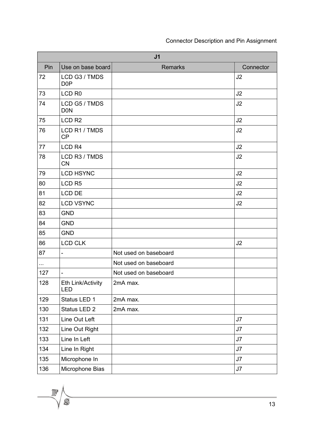| J <sub>1</sub> |                                   |                       |           |
|----------------|-----------------------------------|-----------------------|-----------|
| Pin            | Use on base board                 | <b>Remarks</b>        | Connector |
| 72             | LCD G3 / TMDS<br>D <sub>0</sub> P |                       | J2        |
| 73             | LCD <sub>R0</sub>                 |                       | J2        |
| 74             | LCD G5 / TMDS<br><b>DON</b>       |                       | J2        |
| 75             | LCD <sub>R2</sub>                 |                       | J2        |
| 76             | LCD R1 / TMDS<br><b>CP</b>        |                       | J2        |
| 77             | LCD <sub>R4</sub>                 |                       | J2        |
| 78             | LCD R3 / TMDS<br><b>CN</b>        |                       | J2        |
| 79             | <b>LCD HSYNC</b>                  |                       | J2        |
| 80             | LCD <sub>R5</sub>                 |                       | J2        |
| 81             | LCD DE                            |                       | J2        |
| 82             | <b>LCD VSYNC</b>                  |                       | J2        |
| 83             | <b>GND</b>                        |                       |           |
| 84             | <b>GND</b>                        |                       |           |
| 85             | <b>GND</b>                        |                       |           |
| 86             | <b>LCD CLK</b>                    |                       | J2        |
| 87             | $\overline{\phantom{0}}$          | Not used on baseboard |           |
| $\cdots$       |                                   | Not used on baseboard |           |
| 127            |                                   | Not used on baseboard |           |
| 128            | Eth Link/Activity<br><b>LED</b>   | 2mA max.              |           |
| 129            | Status LED 1                      | 2mA max.              |           |
| 130            | Status LED 2                      | 2mA max.              |           |
| 131            | Line Out Left                     |                       | J7        |
| 132            | Line Out Right                    |                       | J7        |
| 133            | Line In Left                      |                       | J7        |
| 134            | Line In Right                     |                       | J7        |
| 135            | Microphone In                     |                       | J7        |
| 136            | Microphone Bias                   |                       | J7        |

 $\mathbb{F}$ 

 $\widetilde{C}$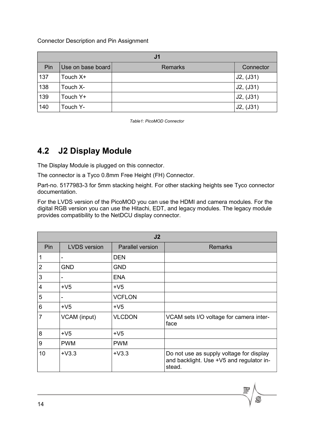| J <sub>1</sub> |                   |                |           |
|----------------|-------------------|----------------|-----------|
| Pin            | Use on base board | <b>Remarks</b> | Connector |
| 137            | Touch X+          |                | J2, (J31) |
| 138            | Touch X-          |                | J2, (J31) |
| 139            | Touch Y+          |                | J2, (J31) |
| 140            | Touch Y-          |                | J2, (J31) |

*Table1: PicoMOD Connector*

## <span id="page-13-0"></span>**4.2 J2 Display Module**

The Display Module is plugged on this connector.

The connector is a Tyco 0.8mm Free Height (FH) Connector.

Part-no. 5177983-3 for 5mm stacking height. For other stacking heights see Tyco connector documentation.

For the LVDS version of the PicoMOD you can use the HDMI and camera modules. For the digital RGB version you can use the Hitachi, EDT, and legacy modules. The legacy module provides compatibility to the NetDCU display connector.

|                | J2                       |                         |                                                                                                |  |
|----------------|--------------------------|-------------------------|------------------------------------------------------------------------------------------------|--|
| Pin            | <b>LVDS</b> version      | <b>Parallel version</b> | <b>Remarks</b>                                                                                 |  |
| 1              | -                        | <b>DEN</b>              |                                                                                                |  |
| $\overline{2}$ | <b>GND</b>               | <b>GND</b>              |                                                                                                |  |
| 3              |                          | <b>ENA</b>              |                                                                                                |  |
| $\overline{4}$ | $+V5$                    | $+V5$                   |                                                                                                |  |
| 5              | $\overline{\phantom{a}}$ | <b>VCFLON</b>           |                                                                                                |  |
| 6              | $+V5$                    | $+V5$                   |                                                                                                |  |
| $\overline{7}$ | VCAM (input)             | <b>VLCDON</b>           | VCAM sets I/O voltage for camera inter-<br>face                                                |  |
| 8              | $+V5$                    | $+V5$                   |                                                                                                |  |
| 9              | <b>PWM</b>               | <b>PWM</b>              |                                                                                                |  |
| 10             | $+V3.3$                  | $+V3.3$                 | Do not use as supply voltage for display<br>and backlight. Use +V5 and regulator in-<br>stead. |  |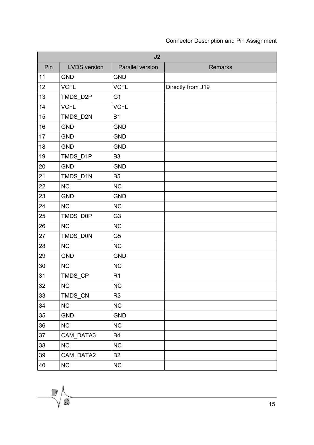| J2  |                     |                  |                   |  |
|-----|---------------------|------------------|-------------------|--|
| Pin | <b>LVDS</b> version | Parallel version | <b>Remarks</b>    |  |
| 11  | <b>GND</b>          | <b>GND</b>       |                   |  |
| 12  | <b>VCFL</b>         | <b>VCFL</b>      | Directly from J19 |  |
| 13  | TMDS_D2P            | G <sub>1</sub>   |                   |  |
| 14  | <b>VCFL</b>         | <b>VCFL</b>      |                   |  |
| 15  | TMDS_D2N            | <b>B1</b>        |                   |  |
| 16  | <b>GND</b>          | <b>GND</b>       |                   |  |
| 17  | <b>GND</b>          | <b>GND</b>       |                   |  |
| 18  | <b>GND</b>          | <b>GND</b>       |                   |  |
| 19  | TMDS_D1P            | B <sub>3</sub>   |                   |  |
| 20  | <b>GND</b>          | <b>GND</b>       |                   |  |
| 21  | TMDS_D1N            | <b>B5</b>        |                   |  |
| 22  | <b>NC</b>           | <b>NC</b>        |                   |  |
| 23  | <b>GND</b>          | <b>GND</b>       |                   |  |
| 24  | <b>NC</b>           | <b>NC</b>        |                   |  |
| 25  | TMDS_D0P            | G <sub>3</sub>   |                   |  |
| 26  | <b>NC</b>           | <b>NC</b>        |                   |  |
| 27  | TMDS_D0N            | G <sub>5</sub>   |                   |  |
| 28  | <b>NC</b>           | <b>NC</b>        |                   |  |
| 29  | <b>GND</b>          | <b>GND</b>       |                   |  |
| 30  | <b>NC</b>           | <b>NC</b>        |                   |  |
| 31  | TMDS_CP             | R <sub>1</sub>   |                   |  |
| 32  | ${\sf NC}$          | <b>NC</b>        |                   |  |
| 33  | TMDS_CN             | R <sub>3</sub>   |                   |  |
| 34  | <b>NC</b>           | <b>NC</b>        |                   |  |
| 35  | <b>GND</b>          | <b>GND</b>       |                   |  |
| 36  | NC                  | NC               |                   |  |
| 37  | CAM_DATA3           | <b>B4</b>        |                   |  |
| 38  | NC                  | <b>NC</b>        |                   |  |
| 39  | CAM_DATA2           | <b>B2</b>        |                   |  |
| 40  | NC                  | <b>NC</b>        |                   |  |

 $\mathbb{F}$ 

 $\widetilde{C}$ 

þ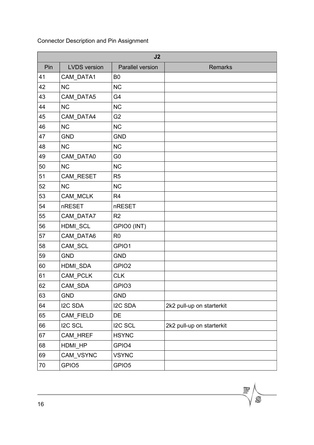| J2  |                     |                   |                           |  |
|-----|---------------------|-------------------|---------------------------|--|
| Pin | <b>LVDS</b> version | Parallel version  | <b>Remarks</b>            |  |
| 41  | CAM_DATA1           | B <sub>0</sub>    |                           |  |
| 42  | <b>NC</b>           | <b>NC</b>         |                           |  |
| 43  | CAM_DATA5           | G4                |                           |  |
| 44  | <b>NC</b>           | <b>NC</b>         |                           |  |
| 45  | CAM_DATA4           | G <sub>2</sub>    |                           |  |
| 46  | <b>NC</b>           | <b>NC</b>         |                           |  |
| 47  | <b>GND</b>          | <b>GND</b>        |                           |  |
| 48  | <b>NC</b>           | <b>NC</b>         |                           |  |
| 49  | CAM_DATA0           | G <sub>0</sub>    |                           |  |
| 50  | <b>NC</b>           | <b>NC</b>         |                           |  |
| 51  | CAM_RESET           | R <sub>5</sub>    |                           |  |
| 52  | <b>NC</b>           | <b>NC</b>         |                           |  |
| 53  | CAM_MCLK            | R <sub>4</sub>    |                           |  |
| 54  | nRESET              | nRESET            |                           |  |
| 55  | CAM_DATA7           | R <sub>2</sub>    |                           |  |
| 56  | HDMI_SCL            | GPIO0 (INT)       |                           |  |
| 57  | CAM_DATA6           | R <sub>0</sub>    |                           |  |
| 58  | CAM_SCL             | GPIO1             |                           |  |
| 59  | <b>GND</b>          | <b>GND</b>        |                           |  |
| 60  | HDMI_SDA            | GPIO <sub>2</sub> |                           |  |
| 61  | CAM_PCLK            | <b>CLK</b>        |                           |  |
| 62  | CAM_SDA             | GPIO <sub>3</sub> |                           |  |
| 63  | <b>GND</b>          | <b>GND</b>        |                           |  |
| 64  | I2C SDA             | <b>I2C SDA</b>    | 2k2 pull-up on starterkit |  |
| 65  | CAM_FIELD           | DE                |                           |  |
| 66  | I2C SCL             | I2C SCL           | 2k2 pull-up on starterkit |  |
| 67  | CAM_HREF            | <b>HSYNC</b>      |                           |  |
| 68  | HDMI_HP             | GPIO4             |                           |  |
| 69  | CAM_VSYNC           | <b>VSYNC</b>      |                           |  |
| 70  | GPIO <sub>5</sub>   | GPIO <sub>5</sub> |                           |  |

 $\overline{\mathcal{N}}$ 

 $\widetilde{\mathcal{C}}$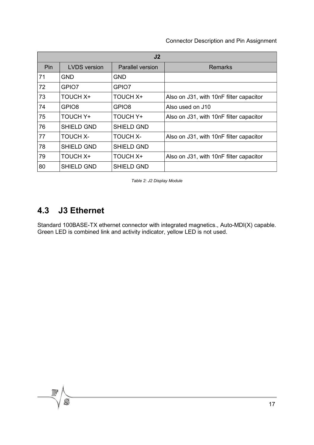| J <sub>2</sub> |                     |                         |                                         |
|----------------|---------------------|-------------------------|-----------------------------------------|
| Pin            | <b>LVDS</b> version | <b>Parallel version</b> | Remarks                                 |
| 71             | <b>GND</b>          | GND                     |                                         |
| 72             | GPIO7               | GPIO7                   |                                         |
| 73             | <b>TOUCH X+</b>     | <b>TOUCH X+</b>         | Also on J31, with 10nF filter capacitor |
| 74             | GPIO <sub>8</sub>   | GPIO <sub>8</sub>       | Also used on J10                        |
| 75             | <b>TOUCH Y+</b>     | <b>TOUCH Y+</b>         | Also on J31, with 10nF filter capacitor |
| 76             | <b>SHIELD GND</b>   | <b>SHIELD GND</b>       |                                         |
| 77             | <b>TOUCH X-</b>     | <b>TOUCH X-</b>         | Also on J31, with 10nF filter capacitor |
| 78             | <b>SHIELD GND</b>   | <b>SHIELD GND</b>       |                                         |
| 79             | <b>TOUCH X+</b>     | <b>TOUCH X+</b>         | Also on J31, with 10nF filter capacitor |
| 80             | <b>SHIELD GND</b>   | <b>SHIELD GND</b>       |                                         |

*Table 2: J2 Display Module*

### <span id="page-16-0"></span>**4.3 J3 Ethernet**

Standard 100BASE-TX ethernet connector with integrated magnetics., Auto-MDI(X) capable. Green LED is combined link and activity indicator, yellow LED is not used.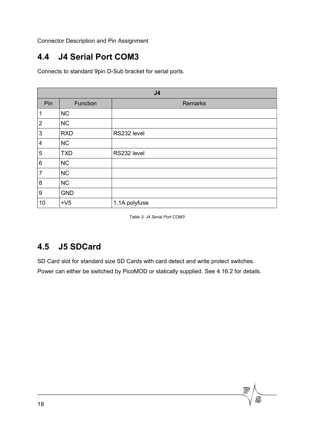### <span id="page-17-1"></span>**4.4 J4 Serial Port COM3**

Connects to standard 9pin D-Sub bracket for serial ports.

| J <sub>4</sub>   |            |                |  |
|------------------|------------|----------------|--|
| Pin              | Function   | <b>Remarks</b> |  |
| 1                | NC         |                |  |
| $\mathbf 2$      | NC         |                |  |
| 3                | <b>RXD</b> | RS232 level    |  |
| $\overline{4}$   | NC         |                |  |
| 5                | <b>TXD</b> | RS232 level    |  |
| $\,6$            | NC         |                |  |
| $\overline{7}$   | NC         |                |  |
| $\bf 8$          | NC         |                |  |
| $\boldsymbol{9}$ | <b>GND</b> |                |  |
| 10               | $+V5$      | 1.1A polyfuse  |  |

*Table 3: J4 Serial Port COM3*

#### <span id="page-17-0"></span>**4.5 J5 SDCard**

SD Card slot for standard size SD Cards with card detect and write protect switches. Power can either be switched by PicoMOD or statically supplied. See [4.16.2](#page-25-1) for details.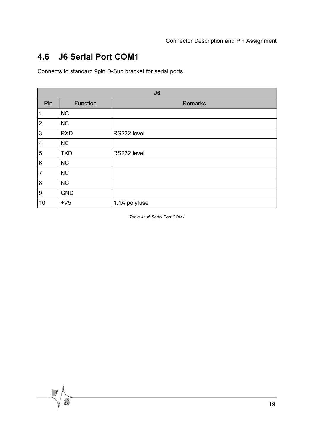### <span id="page-18-0"></span>**4.6 J6 Serial Port COM1**

Connects to standard 9pin D-Sub bracket for serial ports.

| J6               |            |                |  |
|------------------|------------|----------------|--|
| Pin              | Function   | <b>Remarks</b> |  |
| 1                | <b>NC</b>  |                |  |
| $\mathbf 2$      | <b>NC</b>  |                |  |
| $\sqrt{3}$       | <b>RXD</b> | RS232 level    |  |
| $\overline{4}$   | <b>NC</b>  |                |  |
| 5                | <b>TXD</b> | RS232 level    |  |
| $\,6$            | <b>NC</b>  |                |  |
| $\overline{7}$   | NC         |                |  |
| 8                | NC         |                |  |
| $\boldsymbol{9}$ | <b>GND</b> |                |  |
| 10               | $+V5$      | 1.1A polyfuse  |  |

*Table 4: J6 Serial Port COM1*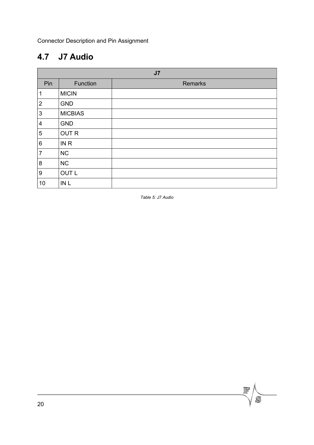## <span id="page-19-0"></span>**4.7 J7 Audio**

| J <sub>7</sub>          |                 |         |  |
|-------------------------|-----------------|---------|--|
| Pin                     | Function        | Remarks |  |
| $\mathbf 1$             | <b>MICIN</b>    |         |  |
| $\overline{2}$          | <b>GND</b>      |         |  |
| 3                       | <b>MICBIAS</b>  |         |  |
| $\overline{\mathbf{4}}$ | <b>GND</b>      |         |  |
| 5                       | <b>OUTR</b>     |         |  |
| 6                       | IN <sub>R</sub> |         |  |
| $\overline{7}$          | <b>NC</b>       |         |  |
| 8                       | <b>NC</b>       |         |  |
| $\boldsymbol{9}$        | <b>OUT L</b>    |         |  |
| 10                      | IN <sub>L</sub> |         |  |

*Table 5: J7 Audio*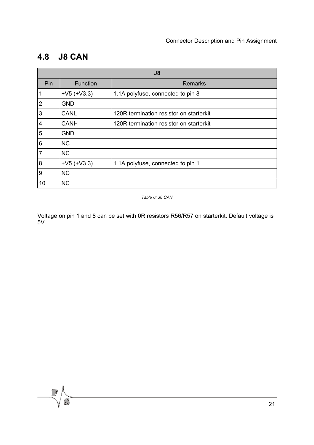### <span id="page-20-0"></span>**4.8 J8 CAN**

 $\mathcal{S}$ 

| J8             |               |                                         |  |
|----------------|---------------|-----------------------------------------|--|
| Pin            | Function      | <b>Remarks</b>                          |  |
| 1              | $+V5 (+V3.3)$ | 1.1A polyfuse, connected to pin 8       |  |
| $\overline{2}$ | <b>GND</b>    |                                         |  |
| 3              | <b>CANL</b>   | 120R termination resistor on starterkit |  |
| $\overline{4}$ | <b>CANH</b>   | 120R termination resistor on starterkit |  |
| 5              | <b>GND</b>    |                                         |  |
| 6              | <b>NC</b>     |                                         |  |
| $\overline{7}$ | <b>NC</b>     |                                         |  |
| 8              | $+V5 (+V3.3)$ | 1.1A polyfuse, connected to pin 1       |  |
| 9              | <b>NC</b>     |                                         |  |
| 10             | <b>NC</b>     |                                         |  |

*Table 6: J8 CAN*

Voltage on pin 1 and 8 can be set with 0R resistors R56/R57 on starterkit. Default voltage is  $5V$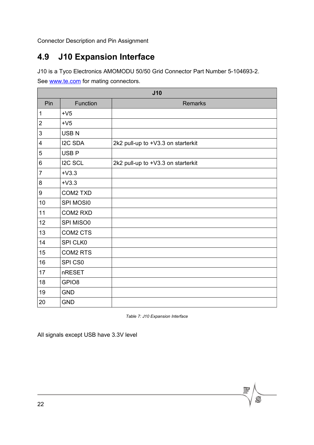## <span id="page-21-0"></span>**4.9 J10 Expansion Interface**

J10 is a Tyco Electronics AMOMODU 50/50 Grid Connector Part Number 5-104693-2.

See [www.te.com](http://www.te.com/) for mating connectors.

| J10              |                   |                                    |  |
|------------------|-------------------|------------------------------------|--|
| Pin              | Function          | <b>Remarks</b>                     |  |
| $\mathbf 1$      | $+V5$             |                                    |  |
| $\overline{2}$   | $+V5$             |                                    |  |
| 3                | <b>USBN</b>       |                                    |  |
| 4                | <b>I2C SDA</b>    | 2k2 pull-up to +V3.3 on starterkit |  |
| $\mathbf 5$      | USB <sub>P</sub>  |                                    |  |
| 6                | <b>I2C SCL</b>    | 2k2 pull-up to +V3.3 on starterkit |  |
| $\overline{7}$   | $+V3.3$           |                                    |  |
| 8                | $+V3.3$           |                                    |  |
| $\boldsymbol{9}$ | <b>COM2 TXD</b>   |                                    |  |
| 10               | SPI MOSI0         |                                    |  |
| 11               | <b>COM2 RXD</b>   |                                    |  |
| 12               | SPI MISO0         |                                    |  |
| 13               | COM2 CTS          |                                    |  |
| 14               | SPI CLK0          |                                    |  |
| 15               | <b>COM2 RTS</b>   |                                    |  |
| 16               | SPI CS0           |                                    |  |
| 17               | nRESET            |                                    |  |
| 18               | GPIO <sub>8</sub> |                                    |  |
| 19               | <b>GND</b>        |                                    |  |
| 20               | <b>GND</b>        |                                    |  |

*Table 7: J10 Expansion Interface*

All signals except USB have 3.3V level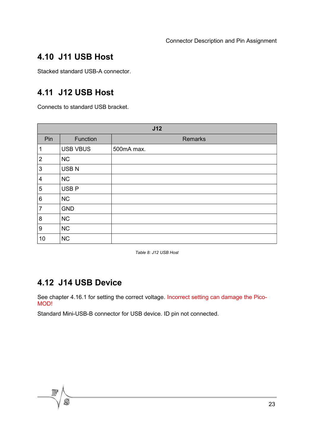### <span id="page-22-2"></span>**4.10 J11 USB Host**

Stacked standard USB-A connector.

#### <span id="page-22-1"></span>**4.11 J12 USB Host**

Connects to standard USB bracket.

| J12            |                  |            |  |
|----------------|------------------|------------|--|
| Pin            | Function         | Remarks    |  |
| $\mathbf{1}$   | <b>USB VBUS</b>  | 500mA max. |  |
| $\overline{2}$ | NC               |            |  |
| 3              | <b>USBN</b>      |            |  |
| 4              | NC               |            |  |
| 5              | USB <sub>P</sub> |            |  |
| 6              | <b>NC</b>        |            |  |
| $\overline{7}$ | <b>GND</b>       |            |  |
| 8              | NC               |            |  |
| 9              | NC               |            |  |
| 10             | NC               |            |  |

*Table 8: J12 USB Host*

#### <span id="page-22-0"></span>**4.12 J14 USB Device**

See chapter [4.16.1](#page-25-2) for setting the correct voltage. Incorrect setting can damage the Pico-MOD!

Standard Mini-USB-B connector for USB device. ID pin not connected.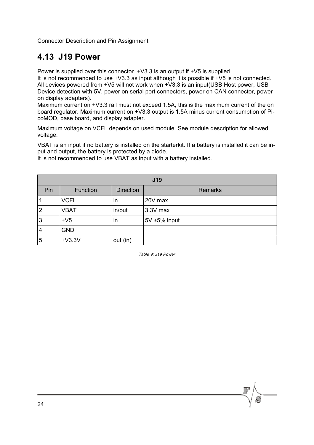#### <span id="page-23-0"></span>**4.13 J19 Power**

Power is supplied over this connector. +V3.3 is an output if +V5 is supplied.

It is not recommended to use +V3.3 as input although it is possible if +V5 is not connected. All devices powered from +V5 will not work when +V3.3 is an input(USB Host power, USB Device detection with 5V, power on serial port connectors, power on CAN connector, power on display adapters).

Maximum current on +V3.3 rail must not exceed 1.5A, this is the maximum current of the on board regulator. Maximum current on +V3.3 output is 1.5A minus current consumption of PicoMOD, base board, and display adapter.

Maximum voltage on VCFL depends on used module. See module description for allowed voltage.

VBAT is an input if no battery is installed on the starterkit. If a battery is installed it can be input and output, the battery is protected by a diode.

| <b>J19</b>     |             |                  |                |  |
|----------------|-------------|------------------|----------------|--|
| Pin            | Function    | <b>Direction</b> | <b>Remarks</b> |  |
|                | <b>VCFL</b> | in               | 20V max        |  |
| $\overline{2}$ | <b>VBAT</b> | in/out           | 3.3V max       |  |
| 3              | $+V5$       | in               | 5V ±5% input   |  |
| 4              | <b>GND</b>  |                  |                |  |
| 5              | $+V3.3V$    | out (in)         |                |  |

It is not recommended to use VBAT as input with a battery installed.

*Table 9: J19 Power*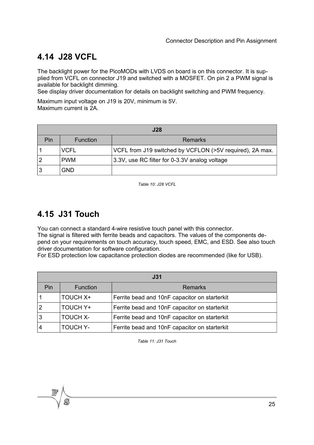### <span id="page-24-1"></span>**4.14 J28 VCFL**

The backlight power for the PicoMODs with LVDS on board is on this connector. It is supplied from VCFL on connector J19 and switched with a MOSFET. On pin 2 a PWM signal is available for backlight dimming.

See display driver documentation for details on backlight switching and PWM frequency.

Maximum input voltage on J19 is 20V, minimum is 5V. Maximum current is 2A.

| <b>J28</b> |                 |                                                          |  |
|------------|-----------------|----------------------------------------------------------|--|
| Pin        | <b>Function</b> | Remarks                                                  |  |
|            | <b>VCFL</b>     | VCFL from J19 switched by VCFLON (>5V required), 2A max. |  |
|            | <b>PWM</b>      | 3.3V, use RC filter for 0-3.3V analog voltage            |  |
|            | <b>GND</b>      |                                                          |  |

*Table 10: J28 VCFL*

### <span id="page-24-0"></span>**4.15 J31 Touch**

You can connect a standard 4-wire resistive touch panel with this connector.

The signal is filtered with ferrite beads and capacitors. The values of the components depend on your requirements on touch accuracy, touch speed, EMC, and ESD. See also touch driver documentation for software configuration.

For ESD protection low capacitance protection diodes are recommended (like for USB).

| J31            |                 |                                               |  |
|----------------|-----------------|-----------------------------------------------|--|
| Pin            | Function        | <b>Remarks</b>                                |  |
|                | <b>TOUCH X+</b> | Ferrite bead and 10nF capacitor on starterkit |  |
| $\overline{2}$ | <b>TOUCH Y+</b> | Ferrite bead and 10nF capacitor on starterkit |  |
| 3              | <b>TOUCH X-</b> | Ferrite bead and 10nF capacitor on starterkit |  |
| $\overline{4}$ | <b>TOUCH Y-</b> | Ferrite bead and 10nF capacitor on starterkit |  |

*Table 11: J31 Touch*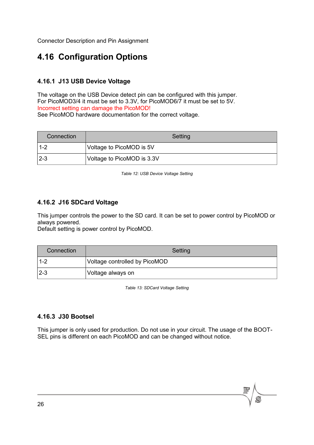### <span id="page-25-3"></span>**4.16 Configuration Options**

#### <span id="page-25-2"></span>**4.16.1 J13 USB Device Voltage**

The voltage on the USB Device detect pin can be configured with this jumper. For PicoMOD3/4 it must be set to 3.3V, for PicoMOD6/7 it must be set to 5V. Incorrect setting can damage the PicoMOD! See PicoMOD hardware documentation for the correct voltage.

| Connection | Setting                    |
|------------|----------------------------|
| 1-2        | Voltage to PicoMOD is 5V   |
| $2 - 3$    | Voltage to PicoMOD is 3.3V |

*Table 12: USB Device Voltage Setting*

#### <span id="page-25-1"></span>**4.16.2 J16 SDCard Voltage**

This jumper controls the power to the SD card. It can be set to power control by PicoMOD or always powered.

Default setting is power control by PicoMOD.

| Connection | Setting                       |  |  |  |  |
|------------|-------------------------------|--|--|--|--|
| $1 - 2$    | Voltage controlled by PicoMOD |  |  |  |  |
| $2 - 3$    | Voltage always on             |  |  |  |  |

*Table 13: SDCard Voltage Setting*

#### <span id="page-25-0"></span>**4.16.3 J30 Bootsel**

This jumper is only used for production. Do not use in your circuit. The usage of the BOOT-SEL pins is different on each PicoMOD and can be changed without notice.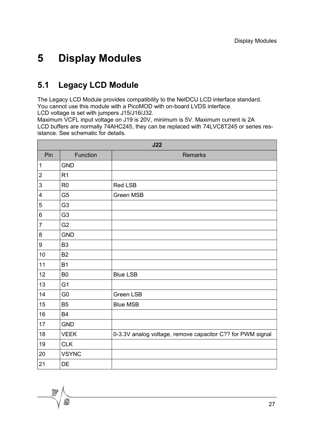### <span id="page-26-1"></span><span id="page-26-0"></span>**5.1 Legacy LCD Module**

The Legacy LCD Module provides compatibility to the NetDCU LCD interface standard. You cannot use this module with a PicoMOD with on-board LVDS interface. LCD voltage is set with jumpers J15/J16/J32.

Maximum VCFL input voltage on J19 is 20V, minimum is 5V. Maximum current is 2A LCD buffers are normally 74AHC245, they can be replaced with 74LVC8T245 or series resistance. See schematic for details.

|                         | J22            |                                                            |  |  |  |  |
|-------------------------|----------------|------------------------------------------------------------|--|--|--|--|
| Pin                     | Function       | <b>Remarks</b>                                             |  |  |  |  |
| $\mathbf 1$             | <b>GND</b>     |                                                            |  |  |  |  |
| $\mathbf 2$             | R <sub>1</sub> |                                                            |  |  |  |  |
| 3                       | R <sub>0</sub> | <b>Red LSB</b>                                             |  |  |  |  |
| $\overline{\mathbf{4}}$ | G <sub>5</sub> | Green MSB                                                  |  |  |  |  |
| 5                       | G <sub>3</sub> |                                                            |  |  |  |  |
| 6                       | G <sub>3</sub> |                                                            |  |  |  |  |
| 7                       | G <sub>2</sub> |                                                            |  |  |  |  |
| 8                       | <b>GND</b>     |                                                            |  |  |  |  |
| 9                       | B <sub>3</sub> |                                                            |  |  |  |  |
| 10                      | <b>B2</b>      |                                                            |  |  |  |  |
| 11                      | <b>B1</b>      |                                                            |  |  |  |  |
| 12                      | B <sub>0</sub> | <b>Blue LSB</b>                                            |  |  |  |  |
| 13                      | G <sub>1</sub> |                                                            |  |  |  |  |
| 14                      | G <sub>0</sub> | <b>Green LSB</b>                                           |  |  |  |  |
| 15                      | B <sub>5</sub> | <b>Blue MSB</b>                                            |  |  |  |  |
| 16                      | <b>B4</b>      |                                                            |  |  |  |  |
| 17                      | <b>GND</b>     |                                                            |  |  |  |  |
| 18                      | <b>VEEK</b>    | 0-3.3V analog voltage, remove capacitor C?? for PWM signal |  |  |  |  |
| 19                      | <b>CLK</b>     |                                                            |  |  |  |  |
| 20                      | <b>VSYNC</b>   |                                                            |  |  |  |  |
| 21                      | <b>DE</b>      |                                                            |  |  |  |  |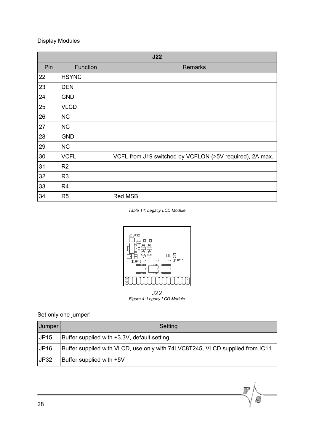| J22 |                |                                                          |  |  |  |  |
|-----|----------------|----------------------------------------------------------|--|--|--|--|
| Pin | Function       | <b>Remarks</b>                                           |  |  |  |  |
| 22  | <b>HSYNC</b>   |                                                          |  |  |  |  |
| 23  | <b>DEN</b>     |                                                          |  |  |  |  |
| 24  | <b>GND</b>     |                                                          |  |  |  |  |
| 25  | <b>VLCD</b>    |                                                          |  |  |  |  |
| 26  | <b>NC</b>      |                                                          |  |  |  |  |
| 27  | <b>NC</b>      |                                                          |  |  |  |  |
| 28  | <b>GND</b>     |                                                          |  |  |  |  |
| 29  | <b>NC</b>      |                                                          |  |  |  |  |
| 30  | <b>VCFL</b>    | VCFL from J19 switched by VCFLON (>5V required), 2A max. |  |  |  |  |
| 31  | R <sub>2</sub> |                                                          |  |  |  |  |
| 32  | R <sub>3</sub> |                                                          |  |  |  |  |
| 33  | R <sub>4</sub> |                                                          |  |  |  |  |
| 34  | R <sub>5</sub> | <b>Red MSB</b>                                           |  |  |  |  |

*Table 14: Legacy LCD Module*



#### Set only one jumper!

| Jumper      | Setting                                                                      |
|-------------|------------------------------------------------------------------------------|
| <b>JP15</b> | Buffer supplied with +3.3V, default setting                                  |
| JP16        | Buffer supplied with VLCD, use only with 74LVC8T245, VLCD supplied from IC11 |
| <b>JP32</b> | Buffer supplied with +5V                                                     |

 $\overline{\mathbb{R}}$ 

 $\overline{S}$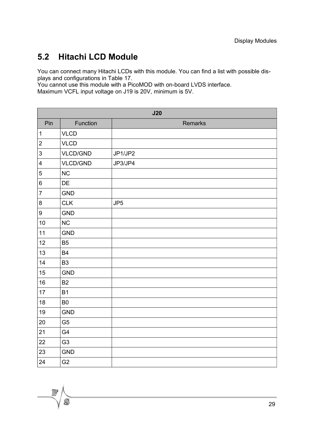### <span id="page-28-0"></span>**5.2 Hitachi LCD Module**

You can connect many Hitachi LCDs with this module. You can find a list with possible displays and configurations in Table [17.](#page-30-0)

You cannot use this module with a PicoMOD with on-board LVDS interface. Maximum VCFL input voltage on J19 is 20V, minimum is 5V.

|                         | J20             |                 |  |  |  |  |  |
|-------------------------|-----------------|-----------------|--|--|--|--|--|
| Pin                     | Function        | <b>Remarks</b>  |  |  |  |  |  |
| $\mathbf 1$             | <b>VLCD</b>     |                 |  |  |  |  |  |
| $\overline{2}$          | <b>VLCD</b>     |                 |  |  |  |  |  |
| $\mathsf 3$             | <b>VLCD/GND</b> | JP1/JP2         |  |  |  |  |  |
| $\overline{\mathbf{4}}$ | <b>VLCD/GND</b> | JP3/JP4         |  |  |  |  |  |
| $\mathbf 5$             | <b>NC</b>       |                 |  |  |  |  |  |
| $\,6$                   | DE              |                 |  |  |  |  |  |
| $\overline{7}$          | <b>GND</b>      |                 |  |  |  |  |  |
| $\bf 8$                 | <b>CLK</b>      | JP <sub>5</sub> |  |  |  |  |  |
| $\boldsymbol{9}$        | <b>GND</b>      |                 |  |  |  |  |  |
| 10                      | <b>NC</b>       |                 |  |  |  |  |  |
| 11                      | <b>GND</b>      |                 |  |  |  |  |  |
| 12                      | B <sub>5</sub>  |                 |  |  |  |  |  |
| 13                      | <b>B4</b>       |                 |  |  |  |  |  |
| 14                      | B <sub>3</sub>  |                 |  |  |  |  |  |
| 15                      | <b>GND</b>      |                 |  |  |  |  |  |
| 16                      | <b>B2</b>       |                 |  |  |  |  |  |
| 17                      | <b>B1</b>       |                 |  |  |  |  |  |
| 18                      | B <sub>0</sub>  |                 |  |  |  |  |  |
| 19                      | <b>GND</b>      |                 |  |  |  |  |  |
| 20                      | G <sub>5</sub>  |                 |  |  |  |  |  |
| 21                      | G4              |                 |  |  |  |  |  |
| 22                      | G <sub>3</sub>  |                 |  |  |  |  |  |
| 23                      | <b>GND</b>      |                 |  |  |  |  |  |
| 24                      | G <sub>2</sub>  |                 |  |  |  |  |  |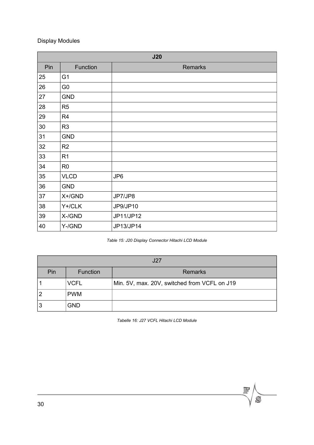| J20 |                |           |  |  |  |
|-----|----------------|-----------|--|--|--|
| Pin | Function       | Remarks   |  |  |  |
| 25  | G <sub>1</sub> |           |  |  |  |
| 26  | G <sub>0</sub> |           |  |  |  |
| 27  | <b>GND</b>     |           |  |  |  |
| 28  | R <sub>5</sub> |           |  |  |  |
| 29  | R <sub>4</sub> |           |  |  |  |
| 30  | R <sub>3</sub> |           |  |  |  |
| 31  | <b>GND</b>     |           |  |  |  |
| 32  | R <sub>2</sub> |           |  |  |  |
| 33  | R <sub>1</sub> |           |  |  |  |
| 34  | R <sub>0</sub> |           |  |  |  |
| 35  | <b>VLCD</b>    | JP6       |  |  |  |
| 36  | <b>GND</b>     |           |  |  |  |
| 37  | $X + /GND$     | JP7/JP8   |  |  |  |
| 38  | Y+/CLK         | JP9/JP10  |  |  |  |
| 39  | X-/GND         | JP11/JP12 |  |  |  |
| 40  | Y-/GND         | JP13/JP14 |  |  |  |

#### *Table 15: J20 Display Connector Hitachi LCD Module*

| .127 |             |                                              |  |  |  |
|------|-------------|----------------------------------------------|--|--|--|
| Pin  | Function    | Remarks                                      |  |  |  |
|      | <b>VCFL</b> | Min. 5V, max. 20V, switched from VCFL on J19 |  |  |  |
|      | <b>PWM</b>  |                                              |  |  |  |
| 3    | <b>GND</b>  |                                              |  |  |  |

*Tabelle 16: J27 VCFL Hitachi LCD Module*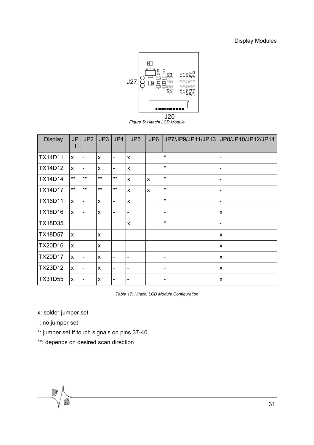

*Figure 5: Hitachi LCD Module*

| <b>Display</b> | <b>JP</b><br>1 | JP <sub>2</sub>          | JP3            | JP4                      | JP <sub>5</sub>              | JP6          | JP7/JP9/JP11/JP13        | JP8/JP10/JP12/JP14           |
|----------------|----------------|--------------------------|----------------|--------------------------|------------------------------|--------------|--------------------------|------------------------------|
| <b>TX14D11</b> | X              | $\overline{\phantom{a}}$ | $\pmb{\times}$ | $\overline{\phantom{0}}$ | X                            |              | $\star$                  | -                            |
| <b>TX14D12</b> | $\mathsf{x}$   | $\blacksquare$           | X              | -                        | $\mathsf{x}$                 |              | $\star$                  | $\qquad \qquad \blacksquare$ |
| <b>TX14D14</b> | $***$          | $***$                    | $***$          | $***$                    | X                            | $\mathsf{x}$ | $\star$                  | $\overline{\phantom{a}}$     |
| <b>TX14D17</b> | $***$          | $***$                    | $***$          | $***$                    | X                            | $\mathsf{x}$ | $\star$                  | $\overline{\phantom{a}}$     |
| <b>TX16D11</b> | X              | $\overline{\phantom{a}}$ | X              | -                        | X                            |              | $^\star$                 | $\overline{\phantom{a}}$     |
| <b>TX18D16</b> | X              | $\overline{a}$           | $\mathsf{x}$   | -                        | $\overline{\phantom{a}}$     |              | ۰                        | X                            |
| <b>TX18D35</b> |                |                          |                |                          | X                            |              | $\star$                  | $\overline{\phantom{a}}$     |
| <b>TX18D57</b> | $\mathsf{x}$   | $\overline{\phantom{a}}$ | $\mathsf{x}$   | -                        | $\overline{\phantom{a}}$     |              | -                        | X                            |
| <b>TX20D16</b> | X              | $\overline{\phantom{a}}$ | X              | -                        | $\overline{\phantom{a}}$     |              | $\overline{\phantom{a}}$ | X                            |
| <b>TX20D17</b> | $\mathsf{x}$   | $\overline{\phantom{a}}$ | $\mathsf{x}$   | -                        | ۰                            |              |                          | X                            |
| <b>TX23D12</b> | X              | $\overline{\phantom{a}}$ | $\pmb{\times}$ | -                        | $\overline{\phantom{a}}$     |              | $\overline{\phantom{a}}$ | $\pmb{\times}$               |
| <b>TX31D55</b> | X              | -                        | X              | -                        | $\qquad \qquad \blacksquare$ |              | ۰                        | X                            |

<span id="page-30-0"></span>*Table 17: Hitachi LCD Module Configuration*

- x: solder jumper set
- -: no jumper set
- \*: jumper set if touch signals on pins 37-40
- \*\*: depends on desired scan direction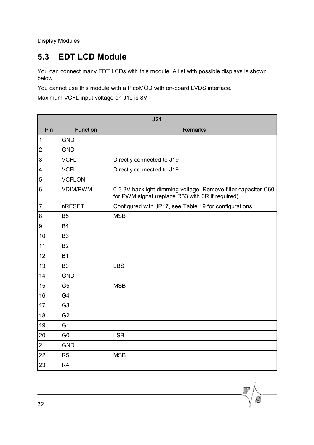## <span id="page-31-0"></span>**5.3 EDT LCD Module**

You can connect many EDT LCDs with this module. A list with possible displays is shown below.

You cannot use this module with a PicoMOD with on-board LVDS interface.

Maximum VCFL input voltage on J19 is 8V.

| J21              |                 |                                                                                                                    |  |  |  |
|------------------|-----------------|--------------------------------------------------------------------------------------------------------------------|--|--|--|
| Pin              | Function        | <b>Remarks</b>                                                                                                     |  |  |  |
| 1                | <b>GND</b>      |                                                                                                                    |  |  |  |
| $\overline{2}$   | <b>GND</b>      |                                                                                                                    |  |  |  |
| 3                | <b>VCFL</b>     | Directly connected to J19                                                                                          |  |  |  |
| 4                | <b>VCFL</b>     | Directly connected to J19                                                                                          |  |  |  |
| 5                | <b>VCFLON</b>   |                                                                                                                    |  |  |  |
| 6                | <b>VDIM/PWM</b> | 0-3.3V backlight dimming voltage. Remove filter capacitor C60<br>for PWM signal (replace R53 with 0R if required). |  |  |  |
| 7                | nRESET          | Configured with JP17, see Table 19 for configurations                                                              |  |  |  |
| 8                | B <sub>5</sub>  | <b>MSB</b>                                                                                                         |  |  |  |
| $\boldsymbol{9}$ | <b>B4</b>       |                                                                                                                    |  |  |  |
| 10               | B <sub>3</sub>  |                                                                                                                    |  |  |  |
| 11               | <b>B2</b>       |                                                                                                                    |  |  |  |
| 12               | <b>B1</b>       |                                                                                                                    |  |  |  |
| 13               | B <sub>0</sub>  | <b>LBS</b>                                                                                                         |  |  |  |
| 14               | <b>GND</b>      |                                                                                                                    |  |  |  |
| 15               | G <sub>5</sub>  | <b>MSB</b>                                                                                                         |  |  |  |
| 16               | G <sub>4</sub>  |                                                                                                                    |  |  |  |
| 17               | G <sub>3</sub>  |                                                                                                                    |  |  |  |
| 18               | G <sub>2</sub>  |                                                                                                                    |  |  |  |
| 19               | G <sub>1</sub>  |                                                                                                                    |  |  |  |
| 20               | G <sub>0</sub>  | <b>LSB</b>                                                                                                         |  |  |  |
| 21               | <b>GND</b>      |                                                                                                                    |  |  |  |
| 22               | R <sub>5</sub>  | <b>MSB</b>                                                                                                         |  |  |  |
| 23               | R <sub>4</sub>  |                                                                                                                    |  |  |  |

 $\overline{S}$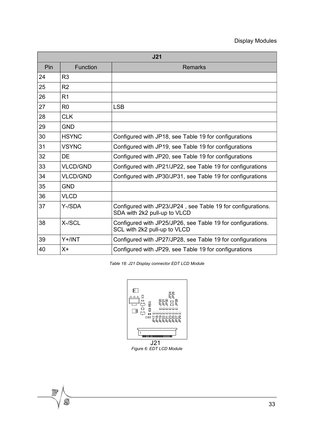| J <sub>21</sub> |                 |                                                                                             |  |  |  |
|-----------------|-----------------|---------------------------------------------------------------------------------------------|--|--|--|
| Pin             | <b>Function</b> | <b>Remarks</b>                                                                              |  |  |  |
| 24              | R <sub>3</sub>  |                                                                                             |  |  |  |
| 25              | R <sub>2</sub>  |                                                                                             |  |  |  |
| 26              | R <sub>1</sub>  |                                                                                             |  |  |  |
| 27              | R <sub>0</sub>  | <b>LSB</b>                                                                                  |  |  |  |
| 28              | <b>CLK</b>      |                                                                                             |  |  |  |
| 29              | <b>GND</b>      |                                                                                             |  |  |  |
| 30              | <b>HSYNC</b>    | Configured with JP18, see Table 19 for configurations                                       |  |  |  |
| 31              | <b>VSYNC</b>    | Configured with JP19, see Table 19 for configurations                                       |  |  |  |
| 32              | DE              | Configured with JP20, see Table 19 for configurations                                       |  |  |  |
| 33              | <b>VLCD/GND</b> | Configured with JP21/JP22, see Table 19 for configurations                                  |  |  |  |
| 34              | <b>VLCD/GND</b> | Configured with JP30/JP31, see Table 19 for configurations                                  |  |  |  |
| 35              | <b>GND</b>      |                                                                                             |  |  |  |
| 36              | <b>VLCD</b>     |                                                                                             |  |  |  |
| 37              | Y-/SDA          | Configured with JP23/JP24, see Table 19 for configurations.<br>SDA with 2k2 pull-up to VLCD |  |  |  |
| 38              | X-/SCL          | Configured with JP25/JP26, see Table 19 for configurations.<br>SCL with 2k2 pull-up to VLCD |  |  |  |
| 39              | Y+/INT          | Configured with JP27/JP28, see Table 19 for configurations                                  |  |  |  |
| 40              | $X +$           | Configured with JP29, see Table 19 for configurations                                       |  |  |  |

*Table 18: J21 Display connector EDT LCD Module*



*Figure 6: EDT LCD Module*

 $\mathcal{L}$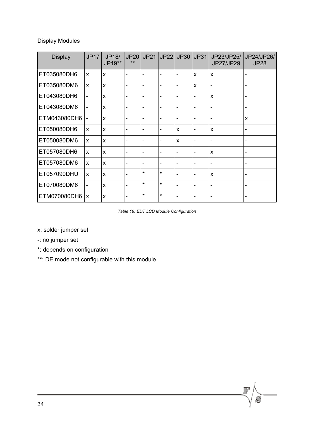| <b>Display</b>   | <b>JP17</b>               | JP18/<br>JP19** | <b>JP20</b><br>$**$ | <b>JP21</b> | <b>JP22</b>              | <b>JP30</b>              | <b>JP31</b>                  | JP23/JP25/<br>JP27/JP29   | JP24/JP26/<br><b>JP28</b> |
|------------------|---------------------------|-----------------|---------------------|-------------|--------------------------|--------------------------|------------------------------|---------------------------|---------------------------|
| ET035080DH6      | $\mathsf{x}$              | X               |                     |             |                          | ۰                        | X                            | X                         |                           |
| ET035080DM6      | $\boldsymbol{\mathsf{x}}$ | $\mathsf{x}$    |                     | -           |                          | -                        | X                            |                           |                           |
| ET043080DH6      | $\overline{\phantom{a}}$  | X               |                     | -           |                          | -                        | -                            | X                         |                           |
| ET043080DM6      |                           | X               |                     | ۰           |                          | $\overline{\phantom{0}}$ | -                            |                           |                           |
| ETM043080DH6     |                           | X               |                     |             | ۰                        |                          |                              | ٠                         | X                         |
| ET050080DH6      | X                         | X               |                     | ۰           | ۰                        | X                        | -                            | $\boldsymbol{\mathsf{x}}$ |                           |
| ET050080DM6      | $\mathsf{x}$              | $\mathsf{x}$    |                     | -           | -                        | X                        | -                            | $\blacksquare$            |                           |
| ET057080DH6      | $\mathsf{x}$              | $\mathsf{x}$    |                     | -           | $\overline{a}$           | -                        | -                            | X                         |                           |
| ET057080DM6      | X                         | X               | -                   | -           | $\overline{\phantom{0}}$ | -                        | -                            | -                         |                           |
| ET057090DHU      | $\mathsf{x}$              | X               |                     | $\star$     | $\star$                  |                          | -                            | $\boldsymbol{\mathsf{x}}$ |                           |
| ET070080DM6      | $\blacksquare$            | $\mathsf{x}$    | -                   | $\star$     | $\star$                  | -                        | $\qquad \qquad \blacksquare$ | $\overline{\phantom{a}}$  |                           |
| ETM070080DH6   x |                           | X               |                     | $\star$     | $\star$                  |                          | ۰                            | -                         |                           |

#### <span id="page-33-0"></span>*Table 19: EDT LCD Module Configuration*

 $\mathcal{S}$ 

x: solder jumper set

- -: no jumper set
- \*: depends on configuration
- \*\*: DE mode not configurable with this module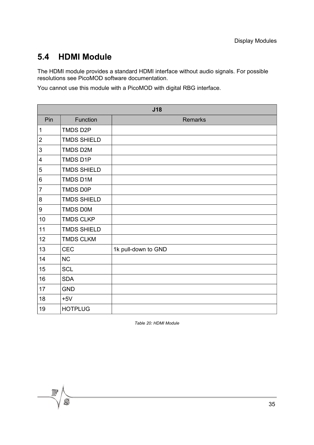#### <span id="page-34-0"></span>**5.4 HDMI Module**

The HDMI module provides a standard HDMI interface without audio signals. For possible resolutions see PicoMOD software documentation.

You cannot use this module with a PicoMOD with digital RBG interface.

| J18            |                    |                     |  |  |
|----------------|--------------------|---------------------|--|--|
| Pin            | Function           | <b>Remarks</b>      |  |  |
| $\mathbf 1$    | TMDS D2P           |                     |  |  |
| $\overline{2}$ | <b>TMDS SHIELD</b> |                     |  |  |
| 3              | TMDS D2M           |                     |  |  |
| 4              | TMDS D1P           |                     |  |  |
| 5              | <b>TMDS SHIELD</b> |                     |  |  |
| 6              | TMDS D1M           |                     |  |  |
| $\overline{7}$ | <b>TMDS D0P</b>    |                     |  |  |
| 8              | <b>TMDS SHIELD</b> |                     |  |  |
| 9              | <b>TMDS DOM</b>    |                     |  |  |
| 10             | <b>TMDS CLKP</b>   |                     |  |  |
| 11             | <b>TMDS SHIELD</b> |                     |  |  |
| 12             | <b>TMDS CLKM</b>   |                     |  |  |
| 13             | <b>CEC</b>         | 1k pull-down to GND |  |  |
| 14             | <b>NC</b>          |                     |  |  |
| 15             | <b>SCL</b>         |                     |  |  |
| 16             | <b>SDA</b>         |                     |  |  |
| 17             | <b>GND</b>         |                     |  |  |
| 18             | $+5V$              |                     |  |  |
| 19             | <b>HOTPLUG</b>     |                     |  |  |

*Table 20: HDMI Module*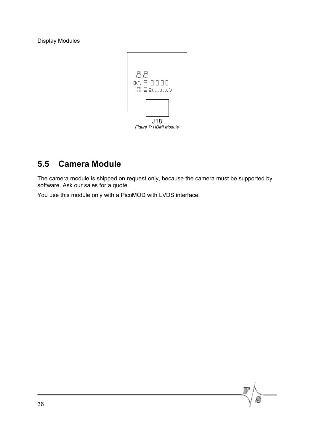

### <span id="page-35-0"></span>**5.5 Camera Module**

The camera module is shipped on request only, because the camera must be supported by software. Ask our sales for a quote.

You use this module only with a PicoMOD with LVDS interface.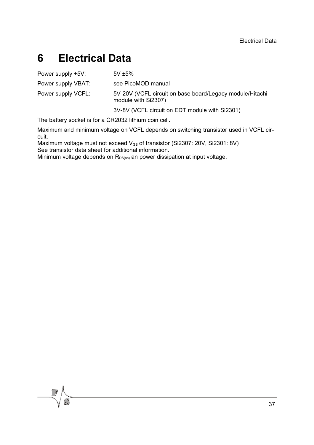## <span id="page-36-0"></span>**6 Electrical Data**

| Power supply +5V:  | $5V \pm 5\%$                                                                    |
|--------------------|---------------------------------------------------------------------------------|
| Power supply VBAT: | see PicoMOD manual                                                              |
| Power supply VCFL: | 5V-20V (VCFL circuit on base board/Legacy module/Hitachi<br>module with Si2307) |
|                    | 3V-8V (VCFL circuit on EDT module with Si2301)                                  |

The battery socket is for a CR2032 lithium coin cell.

Maximum and minimum voltage on VCFL depends on switching transistor used in VCFL circuit.

Maximum voltage must not exceed  $V_{GS}$  of transistor (Si2307: 20V, Si2301: 8V) See transistor data sheet for additional information.

Minimum voltage depends on  $R_{DS(0n)}$  an power dissipation at input voltage.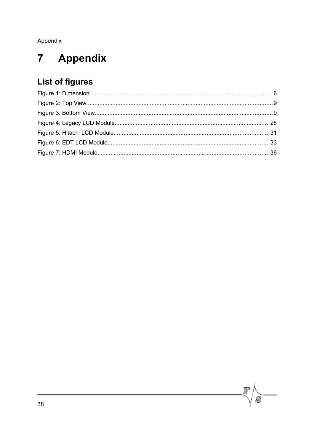Appendix

#### <span id="page-37-0"></span>Appendix  $\overline{7}$

## **List of figures**